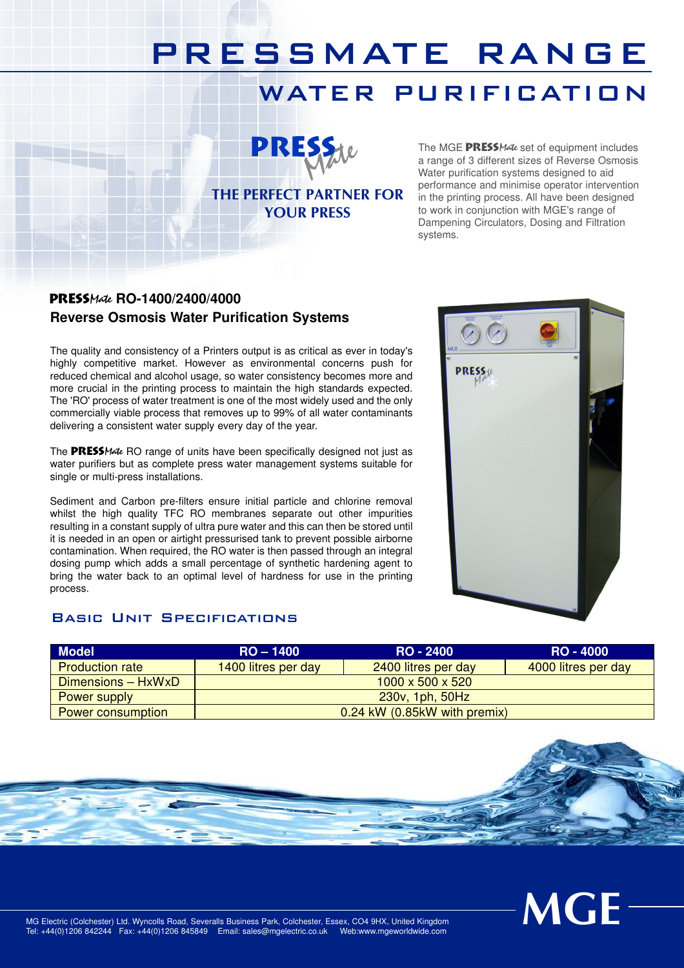## PRESSMATE RANGE

## WATER PURIFICATION



THE PERFECT PARTNER FOR YOUR PRESS

The MGE PRESSMate set of equipment includes a range of 3 different sizes of Reverse Osmosis Water purification systems designed to aid performance and minimise operator intervention in the printing process. All have been designed to work in conjunction with MGE's range of Dampening Circulators, Dosing and Filtration systems.

### PressMate **RO-1400/2400/4000 Reverse Osmosis Water Purification Systems**

The quality and consistency of a Printers output is as critical as ever in today's highly competitive market. However as environmental concerns push for reduced chemical and alcohol usage, so water consistency becomes more and more crucial in the printing process to maintain the high standards expected. The 'RO' process of water treatment is one of the most widely used and the only commercially viable process that removes up to 99% of all water contaminants delivering a consistent water supply every day of the year.

The PRESSMate RO range of units have been specifically designed not just as water purifiers but as complete press water management systems suitable for single or multi-press installations.

Sediment and Carbon pre-filters ensure initial particle and chlorine removal whilst the high quality TFC RO membranes separate out other impurities resulting in a constant supply of ultra pure water and this can then be stored until it is needed in an open or airtight pressurised tank to prevent possible airborne contamination. When required, the RO water is then passed through an integral dosing pump which adds a small percentage of synthetic hardening agent to bring the water back to an optimal level of hardness for use in the printing process.

#### Basic Unit Specifications



| <b>Model</b>           | $RO - 1400$                  | RO - 2400                         | <b>RO - 4000</b>    |  |
|------------------------|------------------------------|-----------------------------------|---------------------|--|
| <b>Production rate</b> | 1400 litres per day          | 2400 litres per day               | 4000 litres per day |  |
| Dimensions - HxWxD     | $1000 \times 500 \times 520$ |                                   |                     |  |
| <b>Power supply</b>    | 230v, 1ph, 50Hz              |                                   |                     |  |
| Power consumption      |                              | $0.24$ kW $(0.85$ kW with premix) |                     |  |